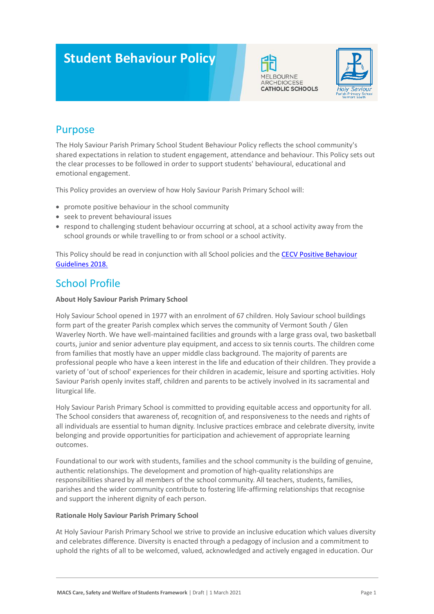# **Student Behaviour Policy**





## Purpose

The Holy Saviour Parish Primary School Student Behaviour Policy reflects the school community's shared expectations in relation to student engagement, attendance and behaviour. This Policy sets out the clear processes to be followed in order to support students' behavioural, educational and emotional engagement.

This Policy provides an overview of how Holy Saviour Parish Primary School will:

- promote positive behaviour in the school community
- seek to prevent behavioural issues
- respond to challenging student behaviour occurring at school, at a school activity away from the school grounds or while travelling to or from school or a school activity.

This Policy should be read in conjunction with all School policies and the [CECV Positive Behaviour](https://www.cecv.catholic.edu.au/getmedia/bc1d235d-9a98-4bb4-b3ac-84b50fa7c639/CECV-Positive-Behaviour-Guidelines_FINAL2.aspx?ext=.pdf)  [Guidelines 2018.](https://www.cecv.catholic.edu.au/getmedia/bc1d235d-9a98-4bb4-b3ac-84b50fa7c639/CECV-Positive-Behaviour-Guidelines_FINAL2.aspx?ext=.pdf)

### School Profile

#### **About Holy Saviour Parish Primary School**

Holy Saviour School opened in 1977 with an enrolment of 67 children. Holy Saviour school buildings form part of the greater Parish complex which serves the community of Vermont South / Glen Waverley North. We have well-maintained facilities and grounds with a large grass oval, two basketball courts, junior and senior adventure play equipment, and access to six tennis courts. The children come from families that mostly have an upper middle class background. The majority of parents are professional people who have a keen interest in the life and education of their children. They provide a variety of 'out of school' experiences for their children in academic, leisure and sporting activities. Holy Saviour Parish openly invites staff, children and parents to be actively involved in its sacramental and liturgical life.

Holy Saviour Parish Primary School is committed to providing equitable access and opportunity for all. The School considers that awareness of, recognition of, and responsiveness to the needs and rights of all individuals are essential to human dignity. Inclusive practices embrace and celebrate diversity, invite belonging and provide opportunities for participation and achievement of appropriate learning outcomes.

Foundational to our work with students, families and the school community is the building of genuine, authentic relationships. The development and promotion of high-quality relationships are responsibilities shared by all members of the school community. All teachers, students, families, parishes and the wider community contribute to fostering life-affirming relationships that recognise and support the inherent dignity of each person.

#### **Rationale Holy Saviour Parish Primary School**

At Holy Saviour Parish Primary School we strive to provide an inclusive education which values diversity and celebrates difference. Diversity is enacted through a pedagogy of inclusion and a commitment to uphold the rights of all to be welcomed, valued, acknowledged and actively engaged in education. Our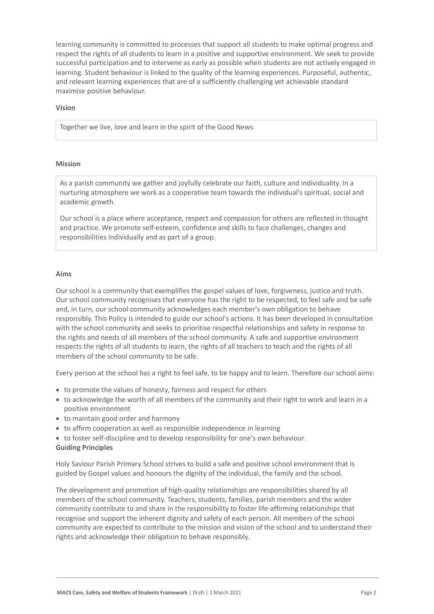learning community is committed to processes that support all students to make optimal progress and respect the rights of all students to learn in a positive and supportive environment. We seek to provide successful participation and to intervene as early as possible when students are not actively engaged in learning. Student behaviour is linked to the quality of the learning experiences. Purposeful, authentic, and relevant learning experiences that are of a sufficiently challenging yet achievable standard maximise positive behaviour.

#### **Vision**

Together we live, love and learn in the spirit of the Good News.

#### **Mission**

As a parish community we gather and joyfully celebrate our faith, culture and individuality. In a nurturing atmosphere we work as a cooperative team towards the individual's spiritual, social and academic growth.

Our school is a place where acceptance, respect and compassion for others are reflected in thought and practice. We promote self-esteem, confidence and skills to face challenges, changes and responsibilities individually and as part of a group.

#### **Aims**

Our school is a community that exemplifies the gospel values of love, forgiveness, justice and truth. Our school community recognises that everyone has the right to be respected, to feel safe and be safe and, in turn, our school community acknowledges each member's own obligation to behave responsibly. This Policy is intended to guide our school's actions. It has been developed in consultation with the school community and seeks to prioritise respectful relationships and safety in response to the rights and needs of all members of the school community. A safe and supportive environment respects the rights of all students to learn, the rights of all teachers to teach and the rights of all members of the school community to be safe.

Every person at the school has a right to feel safe, to be happy and to learn. Therefore our school aims:

- to promote the values of honesty, fairness and respect for others
- to acknowledge the worth of all members of the community and their right to work and learn in a positive environment
- to maintain good order and harmony
- to affirm cooperation as well as responsible independence in learning
- to foster self-discipline and to develop responsibility for one's own behaviour.

#### **Guiding Principles**

Holy Saviour Parish Primary School strives to build a safe and positive school environment that is guided by Gospel values and honours the dignity of the individual, the family and the school.

The development and promotion of high-quality relationships are responsibilities shared by all members of the school community. Teachers, students, families, parish members and the wider community contribute to and share in the responsibility to foster life-affirming relationships that recognise and support the inherent dignity and safety of each person. All members of the school community are expected to contribute to the mission and vision of the school and to understand their rights and acknowledge their obligation to behave responsibly.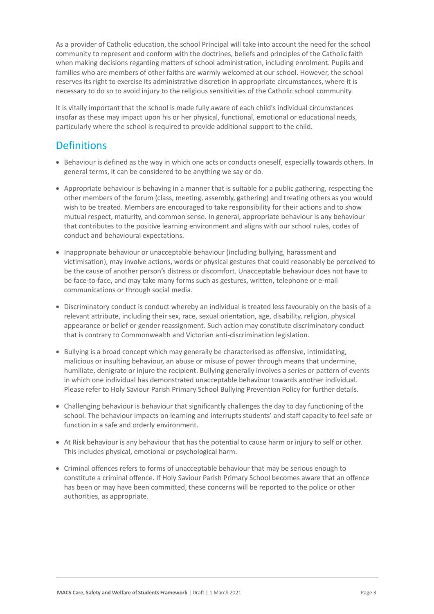As a provider of Catholic education, the school Principal will take into account the need for the school community to represent and conform with the doctrines, beliefs and principles of the Catholic faith when making decisions regarding matters of school administration, including enrolment. Pupils and families who are members of other faiths are warmly welcomed at our school. However, the school reserves its right to exercise its administrative discretion in appropriate circumstances, where it is necessary to do so to avoid injury to the religious sensitivities of the Catholic school community.

It is vitally important that the school is made fully aware of each child's individual circumstances insofar as these may impact upon his or her physical, functional, emotional or educational needs, particularly where the school is required to provide additional support to the child.

### **Definitions**

- Behaviour is defined as the way in which one acts or conducts oneself, especially towards others. In general terms, it can be considered to be anything we say or do.
- Appropriate behaviour is behaving in a manner that is suitable for a public gathering, respecting the other members of the forum (class, meeting, assembly, gathering) and treating others as you would wish to be treated. Members are encouraged to take responsibility for their actions and to show mutual respect, maturity, and common sense. In general, appropriate behaviour is any behaviour that contributes to the positive learning environment and aligns with our school rules, codes of conduct and behavioural expectations.
- Inappropriate behaviour or unacceptable behaviour (including bullying, harassment and victimisation), may involve actions, words or physical gestures that could reasonably be perceived to be the cause of another person's distress or discomfort. Unacceptable behaviour does not have to be face-to-face, and may take many forms such as gestures, written, telephone or e-mail communications or through social media.
- Discriminatory conduct is conduct whereby an individual is treated less favourably on the basis of a relevant attribute, including their sex, race, sexual orientation, age, disability, religion, physical appearance or belief or gender reassignment. Such action may constitute discriminatory conduct that is contrary to Commonwealth and Victorian anti-discrimination legislation.
- Bullying is a broad concept which may generally be characterised as offensive, intimidating, malicious or insulting behaviour, an abuse or misuse of power through means that undermine, humiliate, denigrate or injure the recipient. Bullying generally involves a series or pattern of events in which one individual has demonstrated unacceptable behaviour towards another individual. Please refer to Holy Saviour Parish Primary School Bullying Prevention Policy for further details.
- Challenging behaviour is behaviour that significantly challenges the day to day functioning of the school. The behaviour impacts on learning and interrupts students' and staff capacity to feel safe or function in a safe and orderly environment.
- At Risk behaviour is any behaviour that has the potential to cause harm or injury to self or other. This includes physical, emotional or psychological harm.
- Criminal offences refers to forms of unacceptable behaviour that may be serious enough to constitute a criminal offence. If Holy Saviour Parish Primary School becomes aware that an offence has been or may have been committed, these concerns will be reported to the police or other authorities, as appropriate.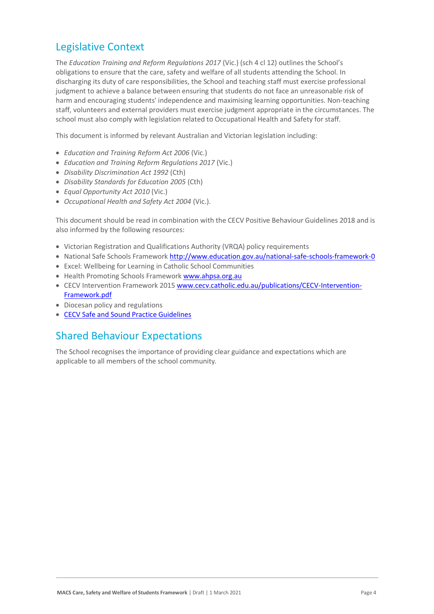### Legislative Context

The *Education Training and Reform Regulations 2017* (Vic.) (sch 4 cl 12) outlines the School's obligations to ensure that the care, safety and welfare of all students attending the School. In discharging its duty of care responsibilities, the School and teaching staff must exercise professional judgment to achieve a balance between ensuring that students do not face an unreasonable risk of harm and encouraging students' independence and maximising learning opportunities. Non-teaching staff, volunteers and external providers must exercise judgment appropriate in the circumstances. The school must also comply with legislation related to Occupational Health and Safety for staff.

This document is informed by relevant Australian and Victorian legislation including:

- *Education and Training Reform Act 2006* (Vic.)
- *Education and Training Reform Regulations 2017* (Vic.)
- *Disability Discrimination Act 1992* (Cth)
- *Disability Standards for Education 2005* (Cth)
- *Equal Opportunity Act 2010* (Vic.)
- *Occupational Health and Safety Act 2004* (Vic.).

This document should be read in combination with the CECV Positive Behaviour Guidelines 2018 and is also informed by the following resources:

- Victorian Registration and Qualifications Authority (VRQA) policy requirements
- National Safe Schools Framework<http://www.education.gov.au/national-safe-schools-framework-0>
- Excel: Wellbeing for Learning in Catholic School Communities
- Health Promoting Schools Framewor[k www.ahpsa.org.au](http://www.ahpsa.org.au/)
- CECV Intervention Framework 201[5 www.cecv.catholic.edu.au/publications/CECV-Intervention-](http://www.cecv.catholic.edu.au/publications/CECV-Intervention-Framework.pdf)[Framework.pdf](http://www.cecv.catholic.edu.au/publications/CECV-Intervention-Framework.pdf)
- Diocesan policy and regulations
- [CECV Safe and Sound Practice Guidelines](https://www.cecv.catholic.edu.au/getmedia/bad5e328-b5f9-4742-a66c-0c7f20ae21ff/Safe-and-Sound-Practice-Guidelines.aspx)

### Shared Behaviour Expectations

The School recognises the importance of providing clear guidance and expectations which are applicable to all members of the school community.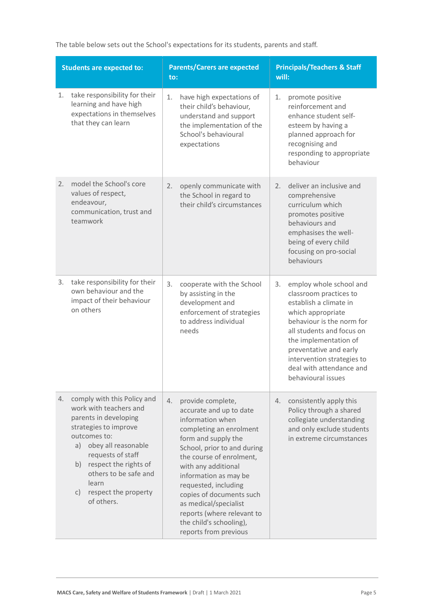| The table below sets out the School's expectations for its students, parents and staff. |  |  |
|-----------------------------------------------------------------------------------------|--|--|
|-----------------------------------------------------------------------------------------|--|--|

| <b>Students are expected to:</b>                                                                                                                                                                                                                                                       | <b>Parents/Carers are expected</b><br>to:                                                                                                                                                                                                                                                                                                                                                          | <b>Principals/Teachers &amp; Staff</b><br>will:                                                                                                                                                                                                                                                     |  |
|----------------------------------------------------------------------------------------------------------------------------------------------------------------------------------------------------------------------------------------------------------------------------------------|----------------------------------------------------------------------------------------------------------------------------------------------------------------------------------------------------------------------------------------------------------------------------------------------------------------------------------------------------------------------------------------------------|-----------------------------------------------------------------------------------------------------------------------------------------------------------------------------------------------------------------------------------------------------------------------------------------------------|--|
| take responsibility for their<br>1.<br>learning and have high<br>expectations in themselves<br>that they can learn                                                                                                                                                                     | 1.<br>have high expectations of<br>their child's behaviour,<br>understand and support<br>the implementation of the<br>School's behavioural<br>expectations                                                                                                                                                                                                                                         | 1.<br>promote positive<br>reinforcement and<br>enhance student self-<br>esteem by having a<br>planned approach for<br>recognising and<br>responding to appropriate<br>behaviour                                                                                                                     |  |
| model the School's core<br>2.<br>values of respect,<br>endeavour,<br>communication, trust and<br>teamwork                                                                                                                                                                              | openly communicate with<br>2.<br>the School in regard to<br>their child's circumstances                                                                                                                                                                                                                                                                                                            | deliver an inclusive and<br>2.<br>comprehensive<br>curriculum which<br>promotes positive<br>behaviours and<br>emphasises the well-<br>being of every child<br>focusing on pro-social<br>behaviours                                                                                                  |  |
| take responsibility for their<br>3.<br>own behaviour and the<br>impact of their behaviour<br>on others                                                                                                                                                                                 | 3.<br>cooperate with the School<br>by assisting in the<br>development and<br>enforcement of strategies<br>to address individual<br>needs                                                                                                                                                                                                                                                           | employ whole school and<br>3.<br>classroom practices to<br>establish a climate in<br>which appropriate<br>behaviour is the norm for<br>all students and focus on<br>the implementation of<br>preventative and early<br>intervention strategies to<br>deal with attendance and<br>behavioural issues |  |
| comply with this Policy and<br>4.<br>work with teachers and<br>parents in developing<br>strategies to improve<br>outcomes to:<br>a) obey all reasonable<br>requests of staff<br>b) respect the rights of<br>others to be safe and<br>learn<br>respect the property<br>C)<br>of others. | provide complete,<br>4.<br>accurate and up to date<br>information when<br>completing an enrolment<br>form and supply the<br>School, prior to and during<br>the course of enrolment,<br>with any additional<br>information as may be<br>requested, including<br>copies of documents such<br>as medical/specialist<br>reports (where relevant to<br>the child's schooling),<br>reports from previous | consistently apply this<br>4.<br>Policy through a shared<br>collegiate understanding<br>and only exclude students<br>in extreme circumstances                                                                                                                                                       |  |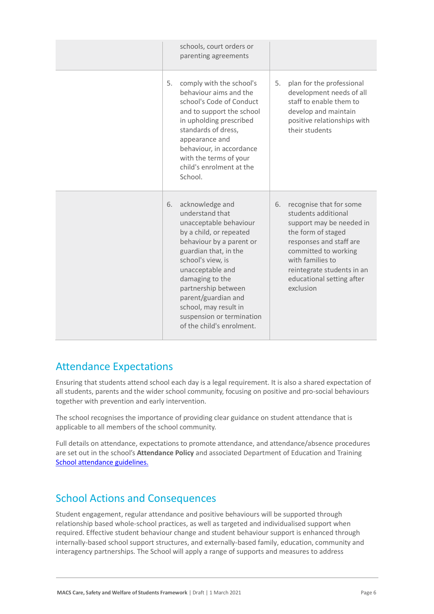|    | schools, court orders or<br>parenting agreements                                                                                                                                                                                                                                                                                          |    |                                                                                                                                                                                                                                                 |
|----|-------------------------------------------------------------------------------------------------------------------------------------------------------------------------------------------------------------------------------------------------------------------------------------------------------------------------------------------|----|-------------------------------------------------------------------------------------------------------------------------------------------------------------------------------------------------------------------------------------------------|
| 5. | comply with the school's<br>behaviour aims and the<br>school's Code of Conduct<br>and to support the school<br>in upholding prescribed<br>standards of dress,<br>appearance and<br>behaviour, in accordance<br>with the terms of your<br>child's enrolment at the<br>School.                                                              | 5. | plan for the professional<br>development needs of all<br>staff to enable them to<br>develop and maintain<br>positive relationships with<br>their students                                                                                       |
| 6. | acknowledge and<br>understand that<br>unacceptable behaviour<br>by a child, or repeated<br>behaviour by a parent or<br>guardian that, in the<br>school's view, is<br>unacceptable and<br>damaging to the<br>partnership between<br>parent/guardian and<br>school, may result in<br>suspension or termination<br>of the child's enrolment. | 6. | recognise that for some<br>students additional<br>support may be needed in<br>the form of staged<br>responses and staff are<br>committed to working<br>with families to<br>reintegrate students in an<br>educational setting after<br>exclusion |

### Attendance Expectations

Ensuring that students attend school each day is a legal requirement. It is also a shared expectation of all students, parents and the wider school community, focusing on positive and pro-social behaviours together with prevention and early intervention.

The school recognises the importance of providing clear guidance on student attendance that is applicable to all members of the school community.

Full details on attendance, expectations to promote attendance, and attendance/absence procedures are set out in the school's **Attendance Policy** and associated Department of Education and Training [School attendance guidelines.](https://www2.education.vic.gov.au/pal/attendance/guidance)

# School Actions and Consequences

Student engagement, regular attendance and positive behaviours will be supported through relationship based whole-school practices, as well as targeted and individualised support when required. Effective student behaviour change and student behaviour support is enhanced through internally-based school support structures, and externally-based family, education, community and interagency partnerships. The School will apply a range of supports and measures to address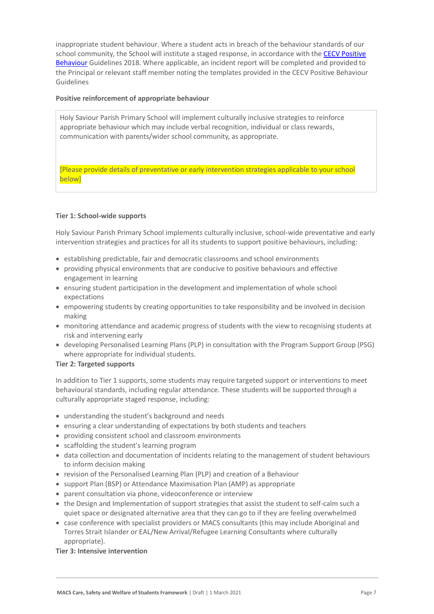inappropriate student behaviour. Where a student acts in breach of the behaviour standards of our school community, the School will institute a staged response, in accordance with the CECV Positive [Behaviour](https://www.cecv.catholic.edu.au/getmedia/bc1d235d-9a98-4bb4-b3ac-84b50fa7c639/CECV-Positive-Behaviour-Guidelines_FINAL2.aspx?ext=.pdf) Guidelines 2018. Where applicable, an incident report will be completed and provided to the Principal or relevant staff member noting the templates provided in the CECV Positive Behaviour Guidelines

#### **Positive reinforcement of appropriate behaviour**

Holy Saviour Parish Primary School will implement culturally inclusive strategies to reinforce appropriate behaviour which may include verbal recognition, individual or class rewards, communication with parents/wider school community, as appropriate.

[Please provide details of preventative or early intervention strategies applicable to your school below]

#### **Tier 1: School-wide supports**

Holy Saviour Parish Primary School implements culturally inclusive, school-wide preventative and early intervention strategies and practices for all its students to support positive behaviours, including:

- establishing predictable, fair and democratic classrooms and school environments
- providing physical environments that are conducive to positive behaviours and effective engagement in learning
- ensuring student participation in the development and implementation of whole school expectations
- empowering students by creating opportunities to take responsibility and be involved in decision making
- monitoring attendance and academic progress of students with the view to recognising students at risk and intervening early
- developing Personalised Learning Plans (PLP) in consultation with the Program Support Group (PSG) where appropriate for individual students.

#### **Tier 2: Targeted supports**

In addition to Tier 1 supports, some students may require targeted support or interventions to meet behavioural standards, including regular attendance. These students will be supported through a culturally appropriate staged response, including:

- understanding the student's background and needs
- ensuring a clear understanding of expectations by both students and teachers
- providing consistent school and classroom environments
- scaffolding the student's learning program
- data collection and documentation of incidents relating to the management of student behaviours to inform decision making
- revision of the Personalised Learning Plan (PLP) and creation of a Behaviour
- support Plan (BSP) or Attendance Maximisation Plan (AMP) as appropriate
- parent consultation via phone, videoconference or interview
- the Design and Implementation of support strategies that assist the student to self-calm such a quiet space or designated alternative area that they can go to if they are feeling overwhelmed
- case conference with specialist providers or MACS consultants (this may include Aboriginal and Torres Strait Islander or EAL/New Arrival/Refugee Learning Consultants where culturally appropriate).

#### **Tier 3: Intensive intervention**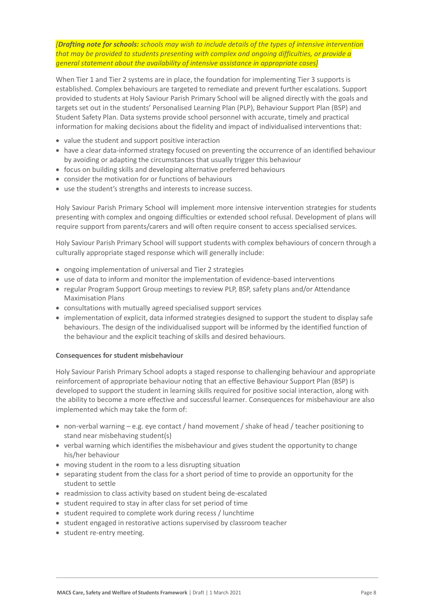*[Drafting note for schools: schools may wish to include details of the types of intensive intervention that may be provided to students presenting with complex and ongoing difficulties, or provide a general statement about the availability of intensive assistance in appropriate cases]*

When Tier 1 and Tier 2 systems are in place, the foundation for implementing Tier 3 supports is established. Complex behaviours are targeted to remediate and prevent further escalations. Support provided to students at Holy Saviour Parish Primary School will be aligned directly with the goals and targets set out in the students' Personalised Learning Plan (PLP), Behaviour Support Plan (BSP) and Student Safety Plan. Data systems provide school personnel with accurate, timely and practical information for making decisions about the fidelity and impact of individualised interventions that:

- value the student and support positive interaction
- have a clear data-informed strategy focused on preventing the occurrence of an identified behaviour by avoiding or adapting the circumstances that usually trigger this behaviour
- focus on building skills and developing alternative preferred behaviours
- consider the motivation for or functions of behaviours
- use the student's strengths and interests to increase success.

Holy Saviour Parish Primary School will implement more intensive intervention strategies for students presenting with complex and ongoing difficulties or extended school refusal. Development of plans will require support from parents/carers and will often require consent to access specialised services.

Holy Saviour Parish Primary School will support students with complex behaviours of concern through a culturally appropriate staged response which will generally include:

- ongoing implementation of universal and Tier 2 strategies
- use of data to inform and monitor the implementation of evidence-based interventions
- regular Program Support Group meetings to review PLP, BSP, safety plans and/or Attendance Maximisation Plans
- consultations with mutually agreed specialised support services
- implementation of explicit, data informed strategies designed to support the student to display safe behaviours. The design of the individualised support will be informed by the identified function of the behaviour and the explicit teaching of skills and desired behaviours.

#### **Consequences for student misbehaviour**

Holy Saviour Parish Primary School adopts a staged response to challenging behaviour and appropriate reinforcement of appropriate behaviour noting that an effective Behaviour Support Plan (BSP) is developed to support the student in learning skills required for positive social interaction, along with the ability to become a more effective and successful learner. Consequences for misbehaviour are also implemented which may take the form of:

- non-verbal warning e.g. eye contact / hand movement / shake of head / teacher positioning to stand near misbehaving student(s)
- verbal warning which identifies the misbehaviour and gives student the opportunity to change his/her behaviour
- moving student in the room to a less disrupting situation
- separating student from the class for a short period of time to provide an opportunity for the student to settle
- readmission to class activity based on student being de-escalated
- student required to stay in after class for set period of time
- student required to complete work during recess / lunchtime
- student engaged in restorative actions supervised by classroom teacher
- student re-entry meeting.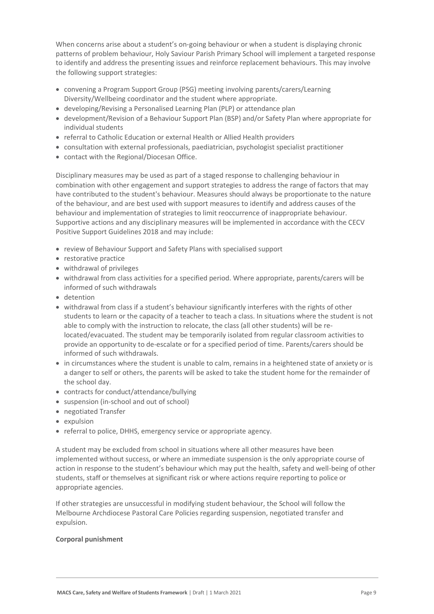When concerns arise about a student's on-going behaviour or when a student is displaying chronic patterns of problem behaviour, Holy Saviour Parish Primary School will implement a targeted response to identify and address the presenting issues and reinforce replacement behaviours. This may involve the following support strategies:

- convening a Program Support Group (PSG) meeting involving parents/carers/Learning Diversity/Wellbeing coordinator and the student where appropriate.
- developing/Revising a Personalised Learning Plan (PLP) or attendance plan
- development/Revision of a Behaviour Support Plan (BSP) and/or Safety Plan where appropriate for individual students
- referral to Catholic Education or external Health or Allied Health providers
- consultation with external professionals, paediatrician, psychologist specialist practitioner
- contact with the Regional/Diocesan Office.

Disciplinary measures may be used as part of a staged response to challenging behaviour in combination with other engagement and support strategies to address the range of factors that may have contributed to the student's behaviour. Measures should always be proportionate to the nature of the behaviour, and are best used with support measures to identify and address causes of the behaviour and implementation of strategies to limit reoccurrence of inappropriate behaviour. Supportive actions and any disciplinary measures will be implemented in accordance with the CECV Positive Support Guidelines 2018 and may include:

- review of Behaviour Support and Safety Plans with specialised support
- restorative practice
- withdrawal of privileges
- withdrawal from class activities for a specified period. Where appropriate, parents/carers will be informed of such withdrawals
- detention
- withdrawal from class if a student's behaviour significantly interferes with the rights of other students to learn or the capacity of a teacher to teach a class. In situations where the student is not able to comply with the instruction to relocate, the class (all other students) will be relocated/evacuated. The student may be temporarily isolated from regular classroom activities to provide an opportunity to de-escalate or for a specified period of time. Parents/carers should be informed of such withdrawals.
- in circumstances where the student is unable to calm, remains in a heightened state of anxiety or is a danger to self or others, the parents will be asked to take the student home for the remainder of the school day.
- contracts for conduct/attendance/bullying
- suspension (in-school and out of school)
- negotiated Transfer
- expulsion
- referral to police, DHHS, emergency service or appropriate agency.

A student may be excluded from school in situations where all other measures have been implemented without success, or where an immediate suspension is the only appropriate course of action in response to the student's behaviour which may put the health, safety and well-being of other students, staff or themselves at significant risk or where actions require reporting to police or appropriate agencies.

If other strategies are unsuccessful in modifying student behaviour, the School will follow the Melbourne Archdiocese Pastoral Care Policies regarding suspension, negotiated transfer and expulsion.

#### **Corporal punishment**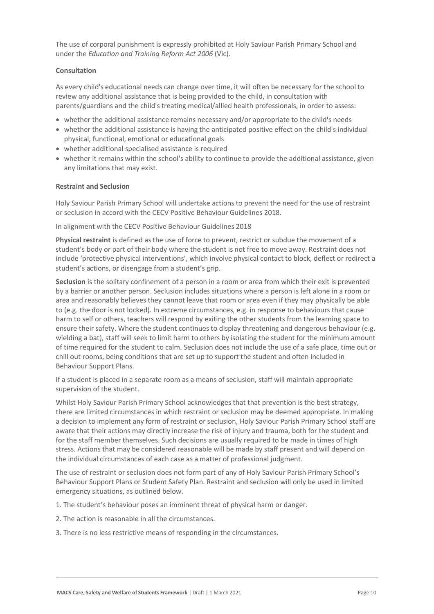The use of corporal punishment is expressly prohibited at Holy Saviour Parish Primary School and under the *Education and Training Reform Act 2006* (Vic).

#### **Consultation**

As every child's educational needs can change over time, it will often be necessary for the school to review any additional assistance that is being provided to the child, in consultation with parents/guardians and the child's treating medical/allied health professionals, in order to assess:

- whether the additional assistance remains necessary and/or appropriate to the child's needs
- whether the additional assistance is having the anticipated positive effect on the child's individual physical, functional, emotional or educational goals
- whether additional specialised assistance is required
- whether it remains within the school's ability to continue to provide the additional assistance, given any limitations that may exist.

#### **Restraint and Seclusion**

Holy Saviour Parish Primary School will undertake actions to prevent the need for the use of restraint or seclusion in accord with the CECV Positive Behaviour Guidelines 2018.

In alignment with the CECV Positive Behaviour Guidelines 2018

**Physical restraint** is defined as the use of force to prevent, restrict or subdue the movement of a student's body or part of their body where the student is not free to move away. Restraint does not include 'protective physical interventions', which involve physical contact to block, deflect or redirect a student's actions, or disengage from a student's grip.

**Seclusion** is the solitary confinement of a person in a room or area from which their exit is prevented by a barrier or another person. Seclusion includes situations where a person is left alone in a room or area and reasonably believes they cannot leave that room or area even if they may physically be able to (e.g. the door is not locked). In extreme circumstances, e.g. in response to behaviours that cause harm to self or others, teachers will respond by exiting the other students from the learning space to ensure their safety. Where the student continues to display threatening and dangerous behaviour (e.g. wielding a bat), staff will seek to limit harm to others by isolating the student for the minimum amount of time required for the student to calm. Seclusion does not include the use of a safe place, time out or chill out rooms, being conditions that are set up to support the student and often included in Behaviour Support Plans.

If a student is placed in a separate room as a means of seclusion, staff will maintain appropriate supervision of the student.

Whilst Holy Saviour Parish Primary School acknowledges that that prevention is the best strategy, there are limited circumstances in which restraint or seclusion may be deemed appropriate. In making a decision to implement any form of restraint or seclusion, Holy Saviour Parish Primary School staff are aware that their actions may directly increase the risk of injury and trauma, both for the student and for the staff member themselves. Such decisions are usually required to be made in times of high stress. Actions that may be considered reasonable will be made by staff present and will depend on the individual circumstances of each case as a matter of professional judgment.

The use of restraint or seclusion does not form part of any of Holy Saviour Parish Primary School's Behaviour Support Plans or Student Safety Plan. Restraint and seclusion will only be used in limited emergency situations, as outlined below.

- 1. The student's behaviour poses an imminent threat of physical harm or danger.
- 2. The action is reasonable in all the circumstances.
- 3. There is no less restrictive means of responding in the circumstances.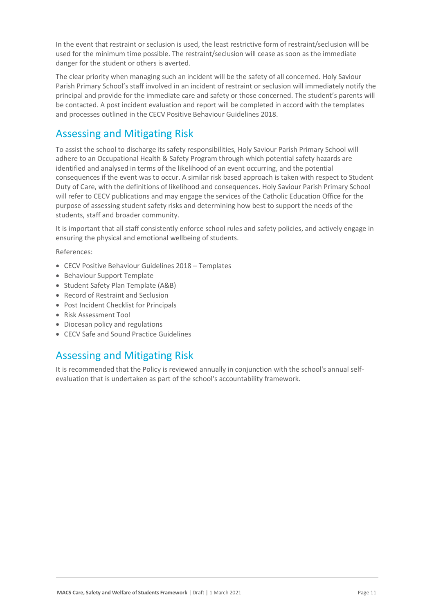In the event that restraint or seclusion is used, the least restrictive form of restraint/seclusion will be used for the minimum time possible. The restraint/seclusion will cease as soon as the immediate danger for the student or others is averted.

The clear priority when managing such an incident will be the safety of all concerned. Holy Saviour Parish Primary School's staff involved in an incident of restraint or seclusion will immediately notify the principal and provide for the immediate care and safety or those concerned. The student's parents will be contacted. A post incident evaluation and report will be completed in accord with the templates and processes outlined in the CECV Positive Behaviour Guidelines 2018.

# Assessing and Mitigating Risk

To assist the school to discharge its safety responsibilities, Holy Saviour Parish Primary School will adhere to an Occupational Health & Safety Program through which potential safety hazards are identified and analysed in terms of the likelihood of an event occurring, and the potential consequences if the event was to occur. A similar risk based approach is taken with respect to Student Duty of Care, with the definitions of likelihood and consequences. Holy Saviour Parish Primary School will refer to CECV publications and may engage the services of the Catholic Education Office for the purpose of assessing student safety risks and determining how best to support the needs of the students, staff and broader community.

It is important that all staff consistently enforce school rules and safety policies, and actively engage in ensuring the physical and emotional wellbeing of students.

#### References:

- CECV Positive Behaviour Guidelines 2018 Templates
- Behaviour Support Template
- Student Safety Plan Template (A&B)
- Record of Restraint and Seclusion
- Post Incident Checklist for Principals
- Risk Assessment Tool
- Diocesan policy and regulations
- CECV Safe and Sound Practice Guidelines

### Assessing and Mitigating Risk

It is recommended that the Policy is reviewed annually in conjunction with the school's annual selfevaluation that is undertaken as part of the school's accountability framework*.*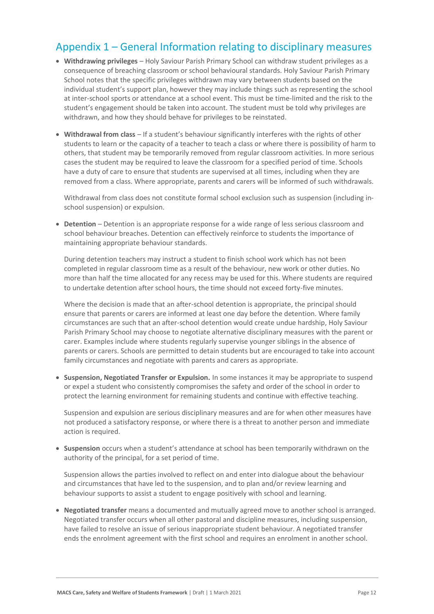### Appendix 1 – General Information relating to disciplinary measures

- **Withdrawing privileges** Holy Saviour Parish Primary School can withdraw student privileges as a consequence of breaching classroom or school behavioural standards. Holy Saviour Parish Primary School notes that the specific privileges withdrawn may vary between students based on the individual student's support plan, however they may include things such as representing the school at inter-school sports or attendance at a school event. This must be time-limited and the risk to the student's engagement should be taken into account. The student must be told why privileges are withdrawn, and how they should behave for privileges to be reinstated.
- **Withdrawal from class** If a student's behaviour significantly interferes with the rights of other students to learn or the capacity of a teacher to teach a class or where there is possibility of harm to others, that student may be temporarily removed from regular classroom activities. In more serious cases the student may be required to leave the classroom for a specified period of time. Schools have a duty of care to ensure that students are supervised at all times, including when they are removed from a class. Where appropriate, parents and carers will be informed of such withdrawals.

Withdrawal from class does not constitute formal school exclusion such as suspension (including inschool suspension) or expulsion.

• **Detention** – Detention is an appropriate response for a wide range of less serious classroom and school behaviour breaches. Detention can effectively reinforce to students the importance of maintaining appropriate behaviour standards.

During detention teachers may instruct a student to finish school work which has not been completed in regular classroom time as a result of the behaviour, new work or other duties. No more than half the time allocated for any recess may be used for this. Where students are required to undertake detention after school hours, the time should not exceed forty-five minutes.

Where the decision is made that an after-school detention is appropriate, the principal should ensure that parents or carers are informed at least one day before the detention. Where family circumstances are such that an after-school detention would create undue hardship, Holy Saviour Parish Primary School may choose to negotiate alternative disciplinary measures with the parent or carer. Examples include where students regularly supervise younger siblings in the absence of parents or carers. Schools are permitted to detain students but are encouraged to take into account family circumstances and negotiate with parents and carers as appropriate.

• **Suspension, Negotiated Transfer or Expulsion.** In some instances it may be appropriate to suspend or expel a student who consistently compromises the safety and order of the school in order to protect the learning environment for remaining students and continue with effective teaching.

Suspension and expulsion are serious disciplinary measures and are for when other measures have not produced a satisfactory response, or where there is a threat to another person and immediate action is required.

• **Suspension** occurs when a student's attendance at school has been temporarily withdrawn on the authority of the principal, for a set period of time.

Suspension allows the parties involved to reflect on and enter into dialogue about the behaviour and circumstances that have led to the suspension, and to plan and/or review learning and behaviour supports to assist a student to engage positively with school and learning.

• **Negotiated transfer** means a documented and mutually agreed move to another school is arranged. Negotiated transfer occurs when all other pastoral and discipline measures, including suspension, have failed to resolve an issue of serious inappropriate student behaviour. A negotiated transfer ends the enrolment agreement with the first school and requires an enrolment in another school.